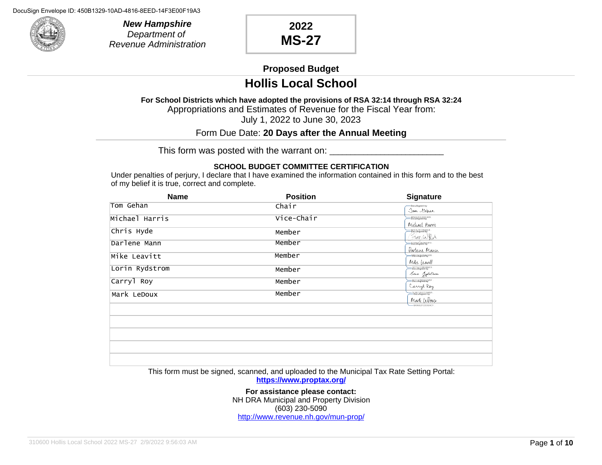

**New Hampshire** Department of Revenue Administration

## **2022 MS-27**

### **Proposed Budget**

### **Hollis Local School**

### **For School Districts which have adopted the provisions of RSA 32:14 through RSA 32:24**

Appropriations and Estimates of Revenue for the Fiscal Year from:

July 1, 2022 to June 30, 2023

### Form Due Date: **20 Days after the Annual Meeting**

This form was posted with the warrant on: \_\_\_\_\_\_\_\_\_\_\_\_\_\_\_\_\_\_\_\_\_\_\_\_\_\_\_

#### **SCHOOL BUDGET COMMITTEE CERTIFICATION**

Under penalties of perjury, I declare that I have examined the information contained in this form and to the best of my belief it is true, correct and complete.

| <b>Name</b>    | <b>Position</b> | <b>Signature</b>                                        |
|----------------|-----------------|---------------------------------------------------------|
| Tom Gehan      | Chair           | DocuSigned by:<br>Jom Gebar                             |
| Michael Harris | Vice-Chair      | -4494A2EA30BD489.<br>- DocuSigned by:<br>Midiael Harris |
| Chris Hyde     | Member          | -843CE787D894424.<br>- DocuSigned by:                   |
| Darlene Mann   | Member          | Hov WOM<br>Darlene Mann                                 |
| Mike Leavitt   | Member          | 1065191071087498<br>Mike Leavitt                        |
| Lorin Rydstrom | Member          | -Z4115CF0B09B4E9.<br>houn Judstrom                      |
| Carryl Roy     | Member          | -BESG37B3D17945F<br>Carryl Roy                          |
| Mark LeDoux    | Member          | -1CAE12E070164BA.<br>Mark Wous                          |
|                |                 | BA95B2F22E924CF                                         |
|                |                 |                                                         |
|                |                 |                                                         |
|                |                 |                                                         |
|                |                 |                                                         |

This form must be signed, scanned, and uploaded to the Municipal Tax Rate Setting Portal:

**https://www.proptax.org/**

**For assistance please contact:** NH DRA Municipal and Property Division (603) 230-5090 http://www.revenue.nh.gov/mun-prop/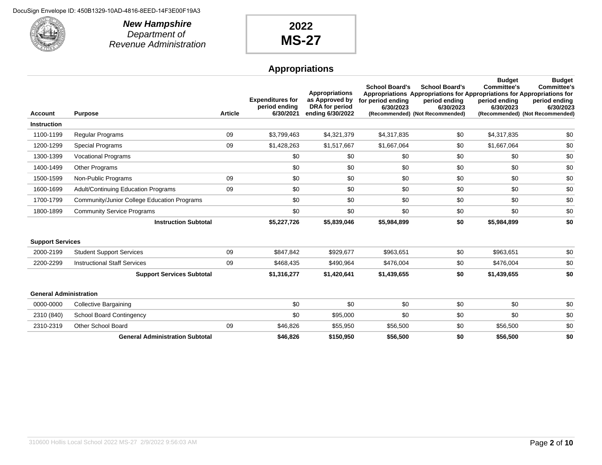

**New Hampshire** Department of Revenue Administration

# **2022 MS-27**

### **Appropriations**

| Account                       | <b>Purpose</b>                              | <b>Article</b> | <b>Expenditures for</b><br>period ending<br>6/30/2021 | Appropriations<br>as Approved by<br>DRA for period<br>ending 6/30/2022 | <b>School Board's</b><br>for period ending<br>6/30/2023 | <b>School Board's</b><br>Appropriations Appropriations for Appropriations for Appropriations for<br>period ending<br>6/30/2023<br>(Recommended) (Not Recommended) | <b>Budget</b><br><b>Committee's</b><br>period ending<br>6/30/2023 | <b>Budget</b><br><b>Committee's</b><br>period ending<br>6/30/2023<br>(Recommended) (Not Recommended) |
|-------------------------------|---------------------------------------------|----------------|-------------------------------------------------------|------------------------------------------------------------------------|---------------------------------------------------------|-------------------------------------------------------------------------------------------------------------------------------------------------------------------|-------------------------------------------------------------------|------------------------------------------------------------------------------------------------------|
| <b>Instruction</b>            |                                             |                |                                                       |                                                                        |                                                         |                                                                                                                                                                   |                                                                   |                                                                                                      |
| 1100-1199                     | <b>Regular Programs</b>                     | 09             | \$3,799,463                                           | \$4,321,379                                                            | \$4,317,835                                             | \$0                                                                                                                                                               | \$4,317,835                                                       | \$0                                                                                                  |
| 1200-1299                     | <b>Special Programs</b>                     | 09             | \$1,428,263                                           | \$1,517,667                                                            | \$1,667,064                                             | \$0                                                                                                                                                               | \$1,667,064                                                       | \$0                                                                                                  |
| 1300-1399                     | <b>Vocational Programs</b>                  |                | \$0                                                   | \$0                                                                    | \$0                                                     | \$0                                                                                                                                                               | \$0                                                               | \$0                                                                                                  |
|                               |                                             |                |                                                       |                                                                        |                                                         |                                                                                                                                                                   |                                                                   |                                                                                                      |
| 1400-1499                     | <b>Other Programs</b>                       |                | \$0                                                   | \$0                                                                    | \$0                                                     | \$0                                                                                                                                                               | \$0                                                               | \$0                                                                                                  |
| 1500-1599                     | Non-Public Programs                         | 09             | \$0                                                   | \$0                                                                    | \$0                                                     | \$0                                                                                                                                                               | \$0                                                               | \$0                                                                                                  |
| 1600-1699                     | <b>Adult/Continuing Education Programs</b>  | 09             | \$0                                                   | \$0                                                                    | \$0                                                     | \$0                                                                                                                                                               | \$0                                                               | \$0                                                                                                  |
| 1700-1799                     | Community/Junior College Education Programs |                | \$0                                                   | \$0                                                                    | \$0                                                     | \$0                                                                                                                                                               | \$0                                                               | \$0                                                                                                  |
| 1800-1899                     | <b>Community Service Programs</b>           |                | \$0                                                   | \$0                                                                    | \$0                                                     | \$0                                                                                                                                                               | \$0                                                               | \$0                                                                                                  |
|                               | <b>Instruction Subtotal</b>                 |                | \$5,227,726                                           | \$5,839,046                                                            | \$5,984,899                                             | \$0                                                                                                                                                               | \$5,984,899                                                       | \$0                                                                                                  |
| <b>Support Services</b>       |                                             |                |                                                       |                                                                        |                                                         |                                                                                                                                                                   |                                                                   |                                                                                                      |
| 2000-2199                     | <b>Student Support Services</b>             | 09             | \$847.842                                             | \$929,677                                                              | \$963.651                                               | \$0                                                                                                                                                               | \$963,651                                                         | \$0                                                                                                  |
| 2200-2299                     | <b>Instructional Staff Services</b>         | 09             | \$468,435                                             | \$490,964                                                              | \$476,004                                               | \$0                                                                                                                                                               | \$476,004                                                         | \$0                                                                                                  |
|                               | <b>Support Services Subtotal</b>            |                | \$1,316,277                                           | \$1,420,641                                                            | \$1,439,655                                             | \$0                                                                                                                                                               | \$1,439,655                                                       | \$0                                                                                                  |
| <b>General Administration</b> |                                             |                |                                                       |                                                                        |                                                         |                                                                                                                                                                   |                                                                   |                                                                                                      |
| 0000-0000                     | <b>Collective Bargaining</b>                |                | \$0                                                   | \$0                                                                    | \$0                                                     | \$0                                                                                                                                                               | \$0                                                               | \$0                                                                                                  |
| 2310 (840)                    | <b>School Board Contingency</b>             |                | \$0                                                   | \$95,000                                                               | \$0                                                     | \$0                                                                                                                                                               | \$0                                                               | \$0                                                                                                  |
| 2310-2319                     | <b>Other School Board</b>                   | 09             | \$46,826                                              | \$55,950                                                               | \$56,500                                                | \$0                                                                                                                                                               | \$56,500                                                          | \$0                                                                                                  |
|                               | <b>General Administration Subtotal</b>      |                | \$46,826                                              | \$150,950                                                              | \$56,500                                                | \$0                                                                                                                                                               | \$56,500                                                          | \$0                                                                                                  |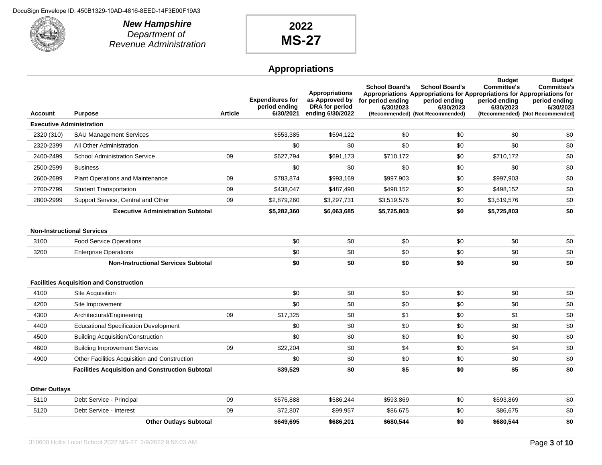

**New Hampshire** Department of Revenue Administration

## **2022 MS-27**

### **Appropriations**

|                                   |                                                         |                | <b>Expenditures for</b><br>period ending | <b>Appropriations</b><br>as Approved by<br>DRA for period | <b>School Board's</b><br>for period ending<br>6/30/2023 | <b>School Board's</b><br>Appropriations Appropriations for Appropriations for Appropriations for<br>period ending<br>6/30/2023 | <b>Budget</b><br><b>Committee's</b><br>period ending<br>6/30/2023 | <b>Budget</b><br><b>Committee's</b><br>period ending<br>6/30/2023 |
|-----------------------------------|---------------------------------------------------------|----------------|------------------------------------------|-----------------------------------------------------------|---------------------------------------------------------|--------------------------------------------------------------------------------------------------------------------------------|-------------------------------------------------------------------|-------------------------------------------------------------------|
| Account                           | <b>Purpose</b>                                          | <b>Article</b> | 6/30/2021                                | ending 6/30/2022                                          |                                                         | (Recommended) (Not Recommended)                                                                                                |                                                                   | (Recommended) (Not Recommended)                                   |
| <b>Executive Administration</b>   |                                                         |                |                                          |                                                           |                                                         |                                                                                                                                |                                                                   |                                                                   |
| 2320 (310)                        | <b>SAU Management Services</b>                          |                | \$553,385                                | \$594,122                                                 | \$0                                                     | \$0                                                                                                                            | \$0                                                               | \$0                                                               |
| 2320-2399                         | All Other Administration                                |                | \$0                                      | \$0                                                       | \$0                                                     | \$0                                                                                                                            | \$0                                                               | \$0                                                               |
| 2400-2499                         | <b>School Administration Service</b>                    | 09             | \$627,794                                | \$691,173                                                 | \$710,172                                               | \$0                                                                                                                            | \$710,172                                                         | \$0                                                               |
| 2500-2599                         | <b>Business</b>                                         |                | \$0                                      | \$0                                                       | \$0                                                     | \$0                                                                                                                            | \$0                                                               | \$0                                                               |
| 2600-2699                         | <b>Plant Operations and Maintenance</b>                 | 09             | \$783,874                                | \$993.169                                                 | \$997.903                                               | \$0                                                                                                                            | \$997.903                                                         | \$0                                                               |
| 2700-2799                         | <b>Student Transportation</b>                           | 09             | \$438,047                                | \$487,490                                                 | \$498,152                                               | \$0                                                                                                                            | \$498,152                                                         | \$0                                                               |
| 2800-2999                         | Support Service, Central and Other                      | 09             | \$2,879,260                              | \$3,297,731                                               | \$3,519,576                                             | \$0                                                                                                                            | \$3,519,576                                                       | \$0                                                               |
|                                   | <b>Executive Administration Subtotal</b>                |                | \$5,282,360                              | \$6,063,685                                               | \$5,725,803                                             | \$0                                                                                                                            | \$5,725,803                                                       | \$0                                                               |
| <b>Non-Instructional Services</b> |                                                         |                |                                          |                                                           |                                                         |                                                                                                                                |                                                                   |                                                                   |
| 3100                              | <b>Food Service Operations</b>                          |                | \$0                                      | \$0                                                       | \$0                                                     | \$0                                                                                                                            | \$0                                                               | \$0                                                               |
| 3200                              | <b>Enterprise Operations</b>                            |                | \$0                                      | \$0                                                       | \$0                                                     | \$0                                                                                                                            | \$0                                                               | \$0                                                               |
|                                   | <b>Non-Instructional Services Subtotal</b>              |                | \$0                                      | \$0                                                       | \$0                                                     | \$0                                                                                                                            | \$0                                                               | \$0                                                               |
|                                   | <b>Facilities Acquisition and Construction</b>          |                |                                          |                                                           |                                                         |                                                                                                                                |                                                                   |                                                                   |
| 4100                              | Site Acquisition                                        |                | \$0                                      | \$0                                                       | \$0                                                     | \$0                                                                                                                            | \$0                                                               | \$0                                                               |
| 4200                              | Site Improvement                                        |                | \$0                                      | \$0                                                       | \$0                                                     | \$0                                                                                                                            | \$0                                                               | \$0                                                               |
| 4300                              | Architectural/Engineering                               | 09             | \$17,325                                 | \$0                                                       | \$1                                                     | \$0                                                                                                                            | \$1                                                               | \$0                                                               |
| 4400                              | <b>Educational Specification Development</b>            |                | \$0                                      | \$0                                                       | \$0                                                     | \$0                                                                                                                            | \$0                                                               | \$0                                                               |
| 4500                              | <b>Building Acquisition/Construction</b>                |                | \$0                                      | \$0                                                       | \$0                                                     | \$0                                                                                                                            | \$0                                                               | \$0                                                               |
| 4600                              | <b>Building Improvement Services</b>                    | 09             | \$22,204                                 | \$0                                                       | \$4                                                     | \$0                                                                                                                            | \$4                                                               | \$0                                                               |
| 4900                              | Other Facilities Acquisition and Construction           |                | \$0                                      | \$0                                                       | \$0                                                     | \$0                                                                                                                            | \$0                                                               | \$0                                                               |
|                                   | <b>Facilities Acquisition and Construction Subtotal</b> |                | \$39,529                                 | \$0                                                       | \$5                                                     | \$0                                                                                                                            | \$5                                                               | \$0                                                               |
| <b>Other Outlays</b>              |                                                         |                |                                          |                                                           |                                                         |                                                                                                                                |                                                                   |                                                                   |
| 5110                              | Debt Service - Principal                                | 09             | \$576,888                                | \$586,244                                                 | \$593,869                                               | \$0                                                                                                                            | \$593,869                                                         | \$0                                                               |
| 5120                              | Debt Service - Interest                                 | 09             | \$72,807                                 | \$99,957                                                  | \$86,675                                                | \$0                                                                                                                            | \$86,675                                                          | \$0                                                               |
|                                   | <b>Other Outlays Subtotal</b>                           |                | \$649,695                                | \$686,201                                                 | \$680,544                                               | \$0                                                                                                                            | \$680,544                                                         | \$0                                                               |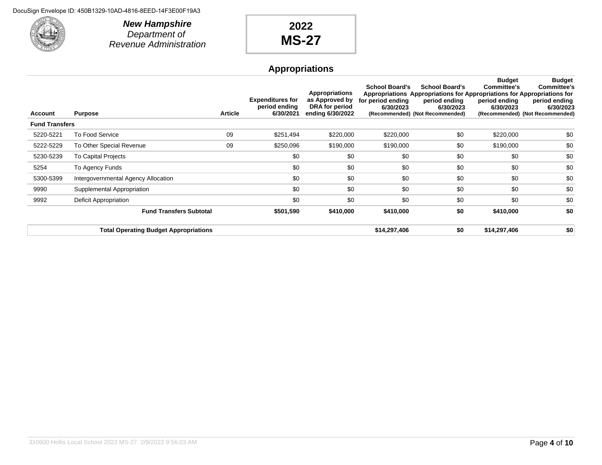

**New Hampshire** Department of Revenue Administration

# **2022 MS-27**

### **Appropriations**

| <b>Account</b>        | <b>Purpose</b>                               | <b>Article</b> | <b>Expenditures for</b><br>period ending<br>6/30/2021 | <b>Appropriations</b><br>as Approved by<br>DRA for period<br>ending 6/30/2022 | <b>School Board's</b><br>for period ending<br>6/30/2023 | <b>School Board's</b><br>Appropriations Appropriations for Appropriations for Appropriations for<br>period ending<br>6/30/2023<br>(Recommended) (Not Recommended) | <b>Budget</b><br><b>Committee's</b><br>period ending<br>6/30/2023 | Budget<br><b>Committee's</b><br>period ending<br>6/30/2023<br>(Recommended) (Not Recommended) |
|-----------------------|----------------------------------------------|----------------|-------------------------------------------------------|-------------------------------------------------------------------------------|---------------------------------------------------------|-------------------------------------------------------------------------------------------------------------------------------------------------------------------|-------------------------------------------------------------------|-----------------------------------------------------------------------------------------------|
| <b>Fund Transfers</b> |                                              |                |                                                       |                                                                               |                                                         |                                                                                                                                                                   |                                                                   |                                                                                               |
| 5220-5221             | To Food Service                              | 09             | \$251,494                                             | \$220,000                                                                     | \$220,000                                               | \$0                                                                                                                                                               | \$220,000                                                         | \$0                                                                                           |
| 5222-5229             | To Other Special Revenue                     | 09             | \$250,096                                             | \$190,000                                                                     | \$190,000                                               | \$0                                                                                                                                                               | \$190,000                                                         | \$0                                                                                           |
| 5230-5239             | To Capital Projects                          |                | \$0                                                   | \$0                                                                           | \$0                                                     | \$0                                                                                                                                                               | \$0                                                               | \$0                                                                                           |
| 5254                  | To Agency Funds                              |                | \$0                                                   | \$0                                                                           | \$0                                                     | \$0                                                                                                                                                               | \$0                                                               | \$0                                                                                           |
| 5300-5399             | Intergovernmental Agency Allocation          |                | \$0                                                   | \$0                                                                           | \$0                                                     | \$0                                                                                                                                                               | \$0                                                               | \$0                                                                                           |
| 9990                  | Supplemental Appropriation                   |                | \$0                                                   | \$0                                                                           | \$0                                                     | \$0                                                                                                                                                               | \$0                                                               | \$0                                                                                           |
| 9992                  | Deficit Appropriation                        |                | \$0                                                   | \$0                                                                           | \$0                                                     | \$0                                                                                                                                                               | \$0                                                               | \$0                                                                                           |
|                       | <b>Fund Transfers Subtotal</b>               |                | \$501,590                                             | \$410,000                                                                     | \$410,000                                               | \$0                                                                                                                                                               | \$410,000                                                         | \$0                                                                                           |
|                       | <b>Total Operating Budget Appropriations</b> |                |                                                       |                                                                               | \$14,297,406                                            | \$0                                                                                                                                                               | \$14,297,406                                                      | \$0                                                                                           |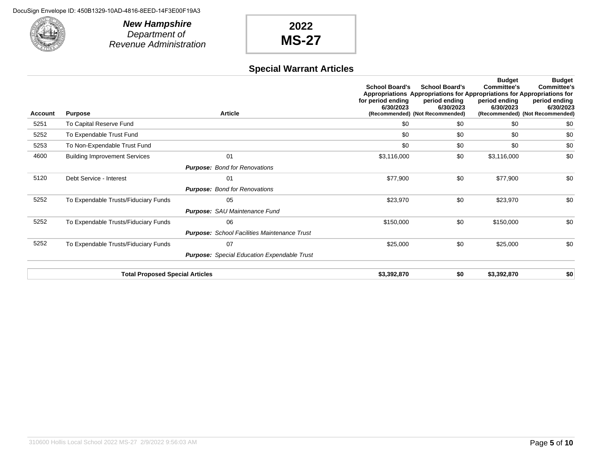

# **2022 MS-27**

#### **Special Warrant Articles**

|                |                                        |                                                     | <b>School Board's</b> | <b>School Board's</b>                                                   | <b>Budget</b><br><b>Committee's</b> | <b>Budget</b><br><b>Committee's</b>          |
|----------------|----------------------------------------|-----------------------------------------------------|-----------------------|-------------------------------------------------------------------------|-------------------------------------|----------------------------------------------|
|                |                                        |                                                     |                       | Appropriations Appropriations for Appropriations for Appropriations for |                                     |                                              |
|                |                                        |                                                     | for period ending     | period ending                                                           | period ending                       | period ending                                |
| <b>Account</b> | <b>Purpose</b>                         | <b>Article</b>                                      | 6/30/2023             | 6/30/2023<br>(Recommended) (Not Recommended)                            | 6/30/2023                           | 6/30/2023<br>(Recommended) (Not Recommended) |
| 5251           | To Capital Reserve Fund                |                                                     | \$0                   | \$0                                                                     | \$0                                 | \$0                                          |
| 5252           | To Expendable Trust Fund               |                                                     | \$0                   | \$0                                                                     | \$0                                 | \$0                                          |
| 5253           | To Non-Expendable Trust Fund           |                                                     | \$0                   | \$0                                                                     | \$0                                 | \$0                                          |
| 4600           | <b>Building Improvement Services</b>   | 01                                                  | \$3,116,000           | \$0                                                                     | \$3,116,000                         | \$0                                          |
|                |                                        | <b>Purpose:</b> Bond for Renovations                |                       |                                                                         |                                     |                                              |
| 5120           | Debt Service - Interest                | 01                                                  | \$77,900              | \$0                                                                     | \$77,900                            | \$0                                          |
|                |                                        | <b>Purpose:</b> Bond for Renovations                |                       |                                                                         |                                     |                                              |
| 5252           | To Expendable Trusts/Fiduciary Funds   | 05                                                  | \$23,970              | \$0                                                                     | \$23,970                            | \$0                                          |
|                |                                        | <b>Purpose:</b> SAU Maintenance Fund                |                       |                                                                         |                                     |                                              |
| 5252           | To Expendable Trusts/Fiduciary Funds   | 06                                                  | \$150,000             | \$0                                                                     | \$150,000                           | \$0                                          |
|                |                                        | <b>Purpose:</b> School Facilities Maintenance Trust |                       |                                                                         |                                     |                                              |
| 5252           | To Expendable Trusts/Fiduciary Funds   | 07                                                  | \$25,000              | \$0                                                                     | \$25,000                            | \$0                                          |
|                |                                        | <b>Purpose:</b> Special Education Expendable Trust  |                       |                                                                         |                                     |                                              |
|                | <b>Total Proposed Special Articles</b> |                                                     | \$3,392,870           | \$0                                                                     | \$3,392,870                         | \$0                                          |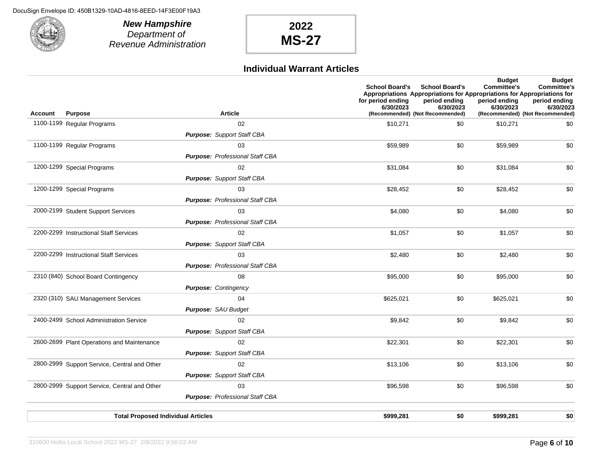

# **2022 MS-27**

#### **Individual Warrant Articles**

|         |                                              |                                        | <b>School Board's</b><br>for period ending<br>6/30/2023 | <b>School Board's</b><br>Appropriations Appropriations for Appropriations for Appropriations for<br>period ending<br>6/30/2023 | <b>Budget</b><br><b>Committee's</b><br>period ending<br>6/30/2023 | <b>Budget</b><br><b>Committee's</b><br>period ending<br>6/30/2023 |
|---------|----------------------------------------------|----------------------------------------|---------------------------------------------------------|--------------------------------------------------------------------------------------------------------------------------------|-------------------------------------------------------------------|-------------------------------------------------------------------|
| Account | <b>Purpose</b>                               | <b>Article</b>                         |                                                         | (Recommended) (Not Recommended)                                                                                                |                                                                   | (Recommended) (Not Recommended)                                   |
|         | 1100-1199 Regular Programs                   | 02                                     | \$10,271                                                | \$0                                                                                                                            | \$10,271                                                          | \$0                                                               |
|         |                                              | <b>Purpose: Support Staff CBA</b>      |                                                         |                                                                                                                                |                                                                   |                                                                   |
|         | 1100-1199 Regular Programs                   | 03                                     | \$59,989                                                | \$0                                                                                                                            | \$59,989                                                          | \$0                                                               |
|         |                                              | <b>Purpose: Professional Staff CBA</b> |                                                         |                                                                                                                                |                                                                   |                                                                   |
|         | 1200-1299 Special Programs                   | 02                                     | \$31,084                                                | \$0                                                                                                                            | \$31,084                                                          | \$0                                                               |
|         |                                              | <b>Purpose: Support Staff CBA</b>      |                                                         |                                                                                                                                |                                                                   |                                                                   |
|         | 1200-1299 Special Programs                   | 03                                     | \$28,452                                                | \$0                                                                                                                            | \$28,452                                                          | \$0                                                               |
|         |                                              | <b>Purpose: Professional Staff CBA</b> |                                                         |                                                                                                                                |                                                                   |                                                                   |
|         | 2000-2199 Student Support Services           | 03                                     | \$4,080                                                 | \$0                                                                                                                            | \$4,080                                                           | \$0                                                               |
|         |                                              | <b>Purpose: Professional Staff CBA</b> |                                                         |                                                                                                                                |                                                                   |                                                                   |
|         | 2200-2299 Instructional Staff Services       | 02                                     | \$1,057                                                 | \$0                                                                                                                            | \$1,057                                                           | \$0                                                               |
|         |                                              | <b>Purpose: Support Staff CBA</b>      |                                                         |                                                                                                                                |                                                                   |                                                                   |
|         | 2200-2299 Instructional Staff Services       | 03                                     | \$2,480                                                 | \$0                                                                                                                            | \$2,480                                                           | \$0                                                               |
|         |                                              | <b>Purpose: Professional Staff CBA</b> |                                                         |                                                                                                                                |                                                                   |                                                                   |
|         | 2310 (840) School Board Contingency          | 08                                     | \$95,000                                                | \$0                                                                                                                            | \$95,000                                                          | \$0                                                               |
|         |                                              | <b>Purpose: Contingency</b>            |                                                         |                                                                                                                                |                                                                   |                                                                   |
|         | 2320 (310) SAU Management Services           | 04                                     | \$625,021                                               | \$0                                                                                                                            | \$625,021                                                         | \$0                                                               |
|         |                                              | <b>Purpose: SAU Budget</b>             |                                                         |                                                                                                                                |                                                                   |                                                                   |
|         | 2400-2499 School Administration Service      | 02                                     | \$9,842                                                 | \$0                                                                                                                            | \$9,842                                                           | \$0                                                               |
|         |                                              | <b>Purpose: Support Staff CBA</b>      |                                                         |                                                                                                                                |                                                                   |                                                                   |
|         | 2600-2699 Plant Operations and Maintenance   | 02                                     | \$22,301                                                | \$0                                                                                                                            | \$22,301                                                          | \$0                                                               |
|         |                                              | <b>Purpose: Support Staff CBA</b>      |                                                         |                                                                                                                                |                                                                   |                                                                   |
|         | 2800-2999 Support Service, Central and Other | 02                                     | \$13,106                                                | \$0                                                                                                                            | \$13,106                                                          | \$0                                                               |
|         |                                              | <b>Purpose: Support Staff CBA</b>      |                                                         |                                                                                                                                |                                                                   |                                                                   |
|         | 2800-2999 Support Service, Central and Other | 03                                     | \$96,598                                                | \$0                                                                                                                            | \$96,598                                                          | \$0                                                               |
|         |                                              | <b>Purpose: Professional Staff CBA</b> |                                                         |                                                                                                                                |                                                                   |                                                                   |
|         |                                              |                                        |                                                         |                                                                                                                                |                                                                   |                                                                   |
|         | <b>Total Proposed Individual Articles</b>    |                                        | \$999,281                                               | \$0                                                                                                                            | \$999,281                                                         | \$0                                                               |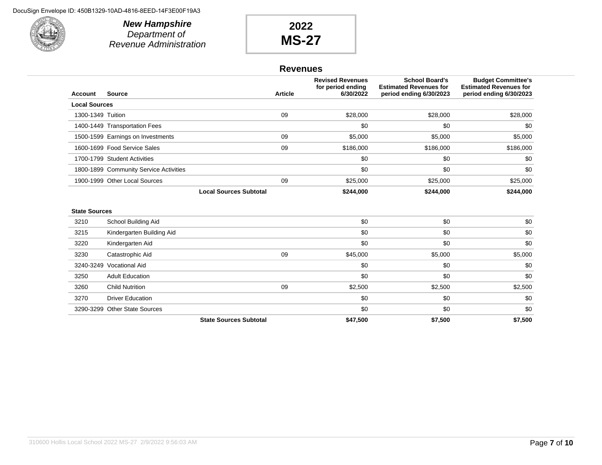

**New Hampshire** Department of Revenue Administration

# **2022 MS-27**

#### **Revenues**

| Account              | <b>Source</b>                          | <b>Article</b>                | <b>Revised Revenues</b><br>for period ending<br>6/30/2022 | <b>School Board's</b><br><b>Estimated Revenues for</b><br>period ending 6/30/2023 | <b>Budget Committee's</b><br><b>Estimated Revenues for</b><br>period ending 6/30/2023 |
|----------------------|----------------------------------------|-------------------------------|-----------------------------------------------------------|-----------------------------------------------------------------------------------|---------------------------------------------------------------------------------------|
| <b>Local Sources</b> |                                        |                               |                                                           |                                                                                   |                                                                                       |
| 1300-1349 Tuition    |                                        | 09                            | \$28,000                                                  | \$28,000                                                                          | \$28,000                                                                              |
|                      | 1400-1449 Transportation Fees          |                               | \$0                                                       | \$0                                                                               | \$0                                                                                   |
|                      | 1500-1599 Earnings on Investments      | 09                            | \$5,000                                                   | \$5,000                                                                           | \$5,000                                                                               |
|                      | 1600-1699 Food Service Sales           | 09                            | \$186,000                                                 | \$186,000                                                                         | \$186,000                                                                             |
|                      | 1700-1799 Student Activities           |                               | \$0                                                       | \$0                                                                               | \$0                                                                                   |
|                      | 1800-1899 Community Service Activities |                               | \$0                                                       | \$0                                                                               | \$0                                                                                   |
|                      | 1900-1999 Other Local Sources          | 09                            | \$25,000                                                  | \$25,000                                                                          | \$25,000                                                                              |
|                      |                                        | <b>Local Sources Subtotal</b> | \$244,000                                                 | \$244,000                                                                         | \$244,000                                                                             |
| <b>State Sources</b> | School Building Aid                    |                               | \$0                                                       | \$0                                                                               | \$0                                                                                   |
| 3210                 |                                        |                               |                                                           |                                                                                   |                                                                                       |
| 3215                 | Kindergarten Building Aid              |                               | \$0                                                       | \$0                                                                               | \$0                                                                                   |
| 3220                 | Kindergarten Aid                       |                               | \$0                                                       | \$0                                                                               | \$0                                                                                   |
| 3230                 | Catastrophic Aid                       | 09                            | \$45,000                                                  | \$5,000                                                                           | \$5,000                                                                               |
| 3240-3249            | <b>Vocational Aid</b>                  |                               | \$0                                                       | \$0                                                                               | \$0                                                                                   |
| 3250                 | <b>Adult Education</b>                 |                               | \$0                                                       | \$0                                                                               | \$0                                                                                   |
| 3260                 | <b>Child Nutrition</b>                 | 09                            | \$2,500                                                   | \$2,500                                                                           | \$2,500                                                                               |
| 3270                 | <b>Driver Education</b>                |                               | \$0                                                       | \$0                                                                               | \$0                                                                                   |
|                      | 3290-3299 Other State Sources          |                               | \$0                                                       | \$0                                                                               | \$0                                                                                   |
|                      |                                        | <b>State Sources Subtotal</b> | \$47.500                                                  | \$7,500                                                                           | \$7,500                                                                               |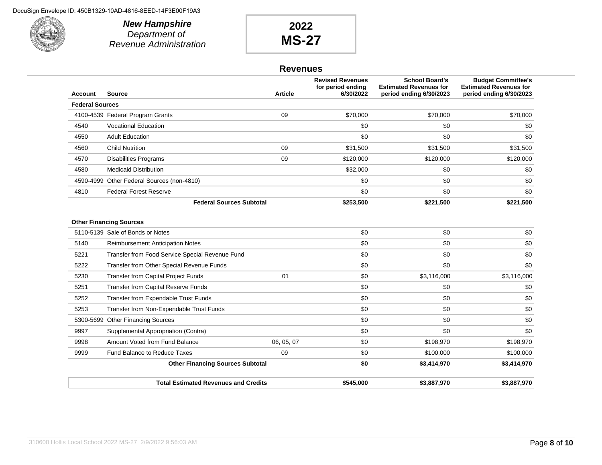

**New Hampshire** Department of Revenue Administration

# **2022 MS-27**

#### **Revenues**

| <b>Account</b>         | <b>Source</b>                                   | <b>Article</b> | <b>Revised Revenues</b><br>for period ending<br>6/30/2022 | <b>School Board's</b><br><b>Estimated Revenues for</b><br>period ending 6/30/2023 | <b>Budget Committee's</b><br><b>Estimated Revenues for</b><br>period ending 6/30/2023 |
|------------------------|-------------------------------------------------|----------------|-----------------------------------------------------------|-----------------------------------------------------------------------------------|---------------------------------------------------------------------------------------|
| <b>Federal Sources</b> |                                                 |                |                                                           |                                                                                   |                                                                                       |
|                        | 4100-4539 Federal Program Grants                | 09             | \$70,000                                                  | \$70,000                                                                          | \$70,000                                                                              |
| 4540                   | <b>Vocational Education</b>                     |                | \$0                                                       | \$0                                                                               | \$0                                                                                   |
| 4550                   | <b>Adult Education</b>                          |                | \$0                                                       | \$0                                                                               | \$0                                                                                   |
| 4560                   | <b>Child Nutrition</b>                          | 09             | \$31,500                                                  | \$31,500                                                                          | \$31,500                                                                              |
| 4570                   | <b>Disabilities Programs</b>                    | 09             | \$120,000                                                 | \$120,000                                                                         | \$120,000                                                                             |
| 4580                   | <b>Medicaid Distribution</b>                    |                | \$32,000                                                  | \$0                                                                               | \$0                                                                                   |
|                        | 4590-4999 Other Federal Sources (non-4810)      |                | \$0                                                       | \$0                                                                               | \$0                                                                                   |
| 4810                   | <b>Federal Forest Reserve</b>                   |                | \$0                                                       | \$0                                                                               | \$0                                                                                   |
|                        | <b>Federal Sources Subtotal</b>                 |                | \$253,500                                                 | \$221,500                                                                         | \$221,500                                                                             |
|                        | 5110-5139 Sale of Bonds or Notes                |                | \$0                                                       | \$0                                                                               | \$0                                                                                   |
|                        | <b>Other Financing Sources</b>                  |                |                                                           |                                                                                   |                                                                                       |
| 5140                   | <b>Reimbursement Anticipation Notes</b>         |                | \$0                                                       | \$0                                                                               | \$0                                                                                   |
| 5221                   | Transfer from Food Service Special Revenue Fund |                | \$0                                                       | \$0                                                                               | \$0                                                                                   |
| 5222                   | Transfer from Other Special Revenue Funds       |                | \$0                                                       | \$0                                                                               | \$0                                                                                   |
| 5230                   | <b>Transfer from Capital Project Funds</b>      | 01             | \$0                                                       | \$3,116,000                                                                       | \$3,116,000                                                                           |
| 5251                   | Transfer from Capital Reserve Funds             |                | \$0                                                       | \$0                                                                               | \$0                                                                                   |
| 5252                   | Transfer from Expendable Trust Funds            |                | \$0                                                       | \$0                                                                               | \$0                                                                                   |
| 5253                   | Transfer from Non-Expendable Trust Funds        |                | \$0                                                       | \$0                                                                               | \$0                                                                                   |
|                        | 5300-5699 Other Financing Sources               |                | \$0                                                       | \$0                                                                               | \$0                                                                                   |
| 9997                   | Supplemental Appropriation (Contra)             |                | \$0                                                       | \$0                                                                               | \$0                                                                                   |
| 9998                   | Amount Voted from Fund Balance                  | 06, 05, 07     | \$0                                                       | \$198,970                                                                         | \$198,970                                                                             |
| 9999                   | Fund Balance to Reduce Taxes                    | 09             | \$0                                                       | \$100,000                                                                         | \$100,000                                                                             |
|                        | <b>Other Financing Sources Subtotal</b>         |                | \$0                                                       | \$3,414,970                                                                       | \$3,414,970                                                                           |
|                        | <b>Total Estimated Revenues and Credits</b>     |                | \$545,000                                                 | \$3,887,970                                                                       | \$3,887,970                                                                           |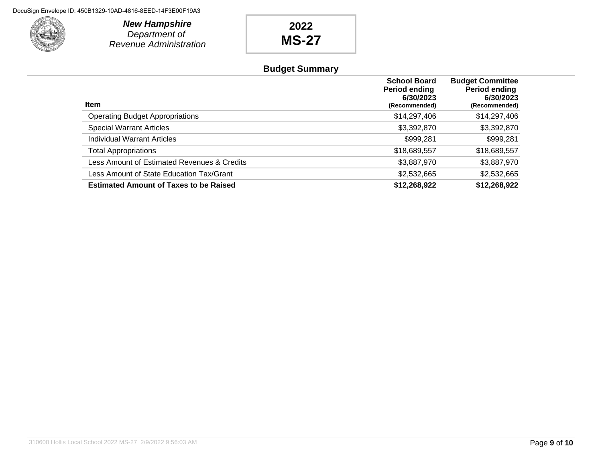

**New Hampshire** Department of Revenue Administration

# **2022 MS-27**

### **Budget Summary**

| <b>Item</b>                                   | <b>School Board</b><br>Period ending<br>6/30/2023<br>(Recommended) | <b>Budget Committee</b><br><b>Period ending</b><br>6/30/2023<br>(Recommended) |
|-----------------------------------------------|--------------------------------------------------------------------|-------------------------------------------------------------------------------|
| <b>Operating Budget Appropriations</b>        | \$14,297,406                                                       | \$14,297,406                                                                  |
| <b>Special Warrant Articles</b>               | \$3,392,870                                                        | \$3,392,870                                                                   |
| Individual Warrant Articles                   | \$999,281                                                          | \$999,281                                                                     |
| <b>Total Appropriations</b>                   | \$18,689,557                                                       | \$18,689,557                                                                  |
| Less Amount of Estimated Revenues & Credits   | \$3,887,970                                                        | \$3,887,970                                                                   |
| Less Amount of State Education Tax/Grant      | \$2,532,665                                                        | \$2,532,665                                                                   |
| <b>Estimated Amount of Taxes to be Raised</b> | \$12,268,922                                                       | \$12,268,922                                                                  |